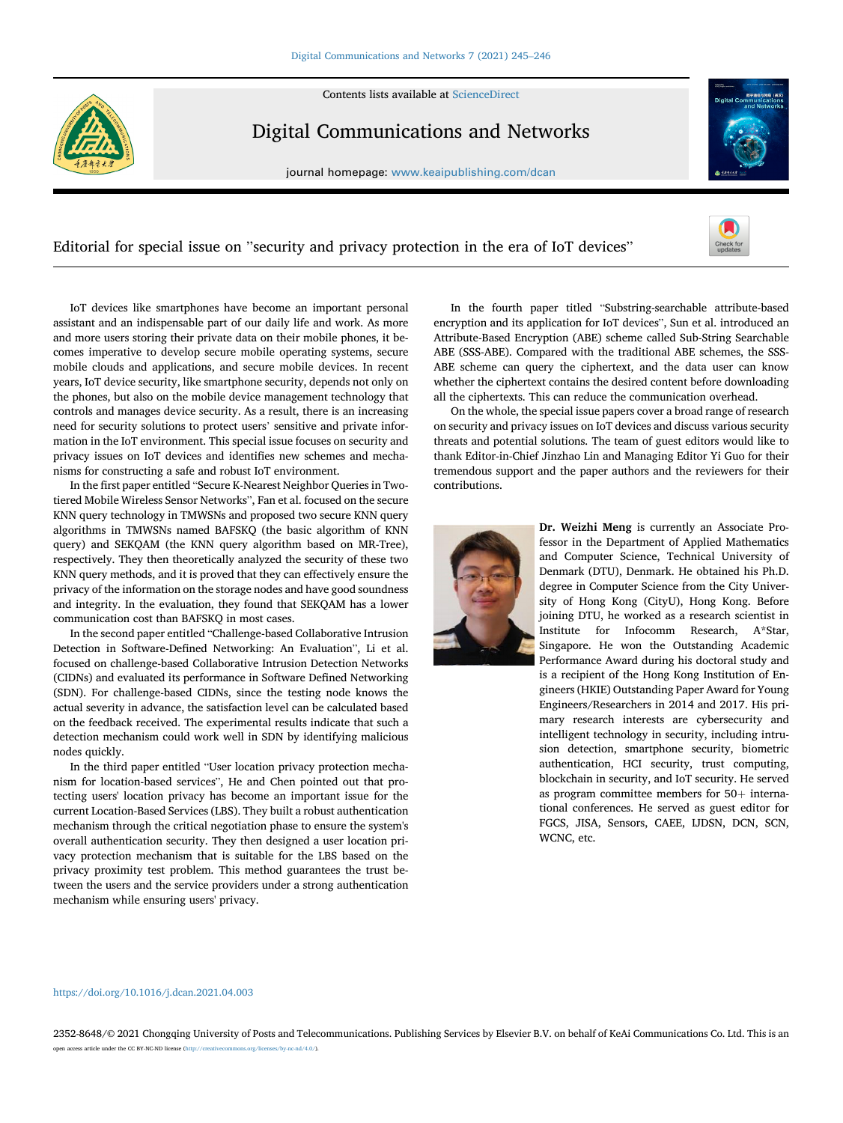Contents lists available at [ScienceDirect](www.sciencedirect.com/science/journal/23528648)



Digital Communications and Networks

journal homepage: [www.keaipublishing.com/dcan](http://www.keaipublishing.com/dcan)



## Editorial for special issue on "security and privacy protection in the era of IoT devices"



IoT devices like smartphones have become an important personal assistant and an indispensable part of our daily life and work. As more and more users storing their private data on their mobile phones, it becomes imperative to develop secure mobile operating systems, secure mobile clouds and applications, and secure mobile devices. In recent years, IoT device security, like smartphone security, depends not only on the phones, but also on the mobile device management technology that controls and manages device security. As a result, there is an increasing need for security solutions to protect users' sensitive and private information in the IoT environment. This special issue focuses on security and privacy issues on IoT devices and identifies new schemes and mechanisms for constructing a safe and robust IoT environment.

In the first paper entitled "Secure K-Nearest Neighbor Queries in Twotiered Mobile Wireless Sensor Networks", Fan et al. focused on the secure KNN query technology in TMWSNs and proposed two secure KNN query algorithms in TMWSNs named BAFSKQ (the basic algorithm of KNN query) and SEKQAM (the KNN query algorithm based on MR-Tree), respectively. They then theoretically analyzed the security of these two KNN query methods, and it is proved that they can effectively ensure the privacy of the information on the storage nodes and have good soundness and integrity. In the evaluation, they found that SEKQAM has a lower communication cost than BAFSKQ in most cases.

In the second paper entitled "Challenge-based Collaborative Intrusion Detection in Software-Defined Networking: An Evaluation", Li et al. focused on challenge-based Collaborative Intrusion Detection Networks (CIDNs) and evaluated its performance in Software Defined Networking (SDN). For challenge-based CIDNs, since the testing node knows the actual severity in advance, the satisfaction level can be calculated based on the feedback received. The experimental results indicate that such a detection mechanism could work well in SDN by identifying malicious nodes quickly.

In the third paper entitled "User location privacy protection mechanism for location-based services", He and Chen pointed out that protecting users' location privacy has become an important issue for the current Location-Based Services (LBS). They built a robust authentication mechanism through the critical negotiation phase to ensure the system's overall authentication security. They then designed a user location privacy protection mechanism that is suitable for the LBS based on the privacy proximity test problem. This method guarantees the trust between the users and the service providers under a strong authentication mechanism while ensuring users' privacy.

In the fourth paper titled "Substring-searchable attribute-based encryption and its application for IoT devices", Sun et al. introduced an Attribute-Based Encryption (ABE) scheme called Sub-String Searchable ABE (SSS-ABE). Compared with the traditional ABE schemes, the SSS-ABE scheme can query the ciphertext, and the data user can know whether the ciphertext contains the desired content before downloading all the ciphertexts. This can reduce the communication overhead.

On the whole, the special issue papers cover a broad range of research on security and privacy issues on IoT devices and discuss various security threats and potential solutions. The team of guest editors would like to thank Editor-in-Chief Jinzhao Lin and Managing Editor Yi Guo for their tremendous support and the paper authors and the reviewers for their contributions.



Dr. Weizhi Meng is currently an Associate Professor in the Department of Applied Mathematics and Computer Science, Technical University of Denmark (DTU), Denmark. He obtained his Ph.D. degree in Computer Science from the City University of Hong Kong (CityU), Hong Kong. Before joining DTU, he worked as a research scientist in Institute for Infocomm Research, A\*Star, Singapore. He won the Outstanding Academic Performance Award during his doctoral study and is a recipient of the Hong Kong Institution of Engineers (HKIE) Outstanding Paper Award for Young Engineers/Researchers in 2014 and 2017. His primary research interests are cybersecurity and intelligent technology in security, including intrusion detection, smartphone security, biometric authentication, HCI security, trust computing, blockchain in security, and IoT security. He served as program committee members for  $50+$  international conferences. He served as guest editor for FGCS, JISA, Sensors, CAEE, IJDSN, DCN, SCN, WCNC, etc.

## <https://doi.org/10.1016/j.dcan.2021.04.003>

2352-8648/© 2021 Chongqing University of Posts and Telecommunications. Publishing Services by Elsevier B.V. on behalf of KeAi Communications Co. Ltd. This is an open access article under the CC BY-NC-ND license (http://creativecommons.org/licenses/